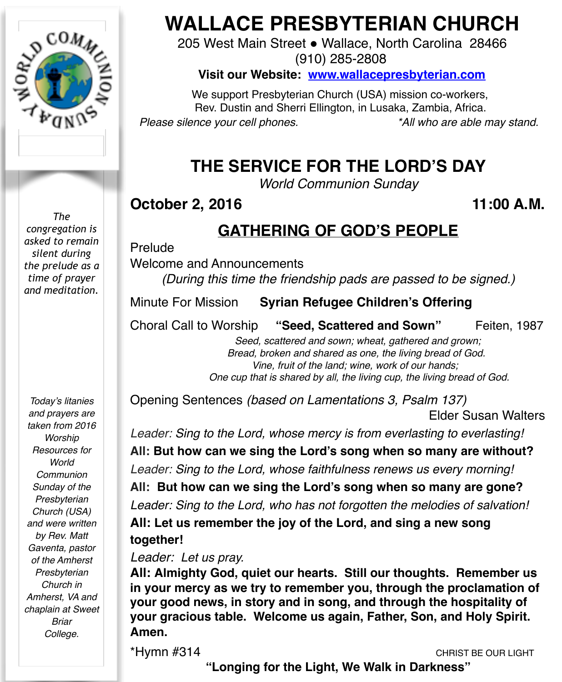

*The congregation is asked to remain silent during the prelude as a time of prayer and meditation.*

*Today's litanies and prayers are taken from 2016 Worship Resources for World Communion Sunday of the Presbyterian Church (USA) and were written by Rev. Matt Gaventa, pastor of the Amherst Presbyterian Church in Amherst, VA and chaplain at Sweet Briar College.*

# **WALLACE PRESBYTERIAN CHURCH**

205 West Main Street . Wallace, North Carolina 28466 (910) 285-2808

**Visit our Website: [www.wallacepresbyterian.com](http://www.wallacepresbyterian.com)**

 We support Presbyterian Church (USA) mission co-workers, Rev. Dustin and Sherri Ellington, in Lusaka, Zambia, Africa. *Please silence your cell phones. \*All who are able may stand.*

## **THE SERVICE FOR THE LORD'S DAY**

*World Communion Sunday*

### **October 2, 2016** 11:00 A.M.

### **GATHERING OF GOD'S PEOPLE**

Prelude !

Welcome and Announcements

*(During this time the friendship pads are passed to be signed.)*

Minute For Mission **Syrian Refugee Children's Offering** 

Choral Call to Worship **"Seed, Scattered and Sown"** Feiten, 1987

 *Seed, scattered and sown; wheat, gathered and grown; Bread, broken and shared as one, the living bread of God. Vine, fruit of the land; wine, work of our hands; One cup that is shared by all, the living cup, the living bread of God.*

Opening Sentences *(based on Lamentations 3, Psalm 137)*  **Elder Susan Walters** 

*Leader: Sing to the Lord, whose mercy is from everlasting to everlasting!* **All: But how can we sing the Lord's song when so many are without?** *Leader: Sing to the Lord, whose faithfulness renews us every morning!* **All: But how can we sing the Lord's song when so many are gone?** *Leader: Sing to the Lord, who has not forgotten the melodies of salvation!*

**All: Let us remember the joy of the Lord, and sing a new song together!**

*Leader: Let us pray.*

**All: Almighty God, quiet our hearts. Still our thoughts. Remember us in your mercy as we try to remember you, through the proclamation of your good news, in story and in song, and through the hospitality of your gracious table. Welcome us again, Father, Son, and Holy Spirit. Amen.**

\*Hymn #314 CHRIST BE OUR LIGHT

**"Longing for the Light, We Walk in Darkness"**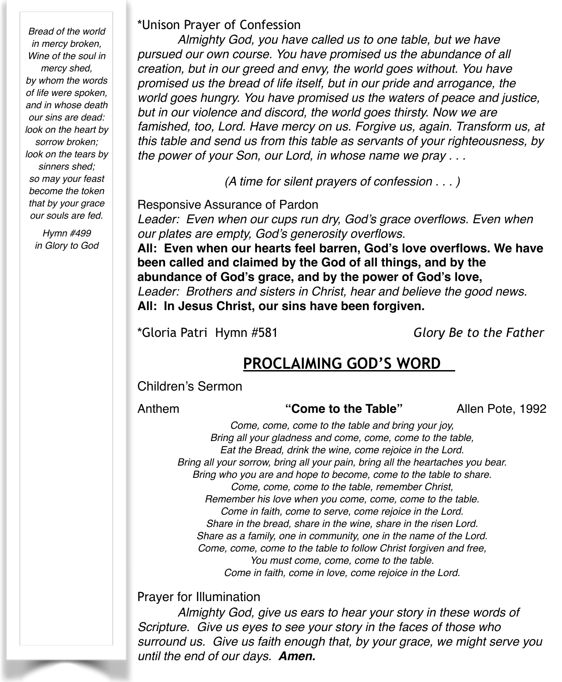*Bread of the world in mercy broken, Wine of the soul in mercy shed, by whom the words of life were spoken, and in whose death our sins are dead: look on the heart by sorrow broken; look on the tears by sinners shed; so may your feast become the token that by your grace our souls are fed.* 

> *Hymn #499 in Glory to God*

#### \*Unison Prayer of Confession

*Almighty God, you have called us to one table, but we have pursued our own course. You have promised us the abundance of all creation, but in our greed and envy, the world goes without. You have promised us the bread of life itself, but in our pride and arrogance, the world goes hungry. You have promised us the waters of peace and justice, but in our violence and discord, the world goes thirsty. Now we are famished, too, Lord. Have mercy on us. Forgive us, again. Transform us, at this table and send us from this table as servants of your righteousness, by the power of your Son, our Lord, in whose name we pray . . .*

*(A time for silent prayers of confession . . . )*

Responsive Assurance of Pardon

*Leader: Even when our cups run dry, God's grace overflows. Even when our plates are empty, God's generosity overflows.*

**All: Even when our hearts feel barren, God's love overflows. We have been called and claimed by the God of all things, and by the abundance of God's grace, and by the power of God's love,** *Leader: Brothers and sisters in Christ, hear and believe the good news.* **All: In Jesus Christ, our sins have been forgiven.**

\*Gloria Patri Hymn #581 *Glory Be to the Father*

### **PROCLAIMING GOD'S WORD**

#### Children's Sermon

#### Anthem **"Come to the Table"** Allen Pote, 1992

*Come, come, come to the table and bring your joy, Bring all your gladness and come, come, come to the table, Eat the Bread, drink the wine, come rejoice in the Lord. Bring all your sorrow, bring all your pain, bring all the heartaches you bear. Bring who you are and hope to become, come to the table to share. Come, come, come to the table, remember Christ, Remember his love when you come, come, come to the table. Come in faith, come to serve, come rejoice in the Lord. Share in the bread, share in the wine, share in the risen Lord. Share as a family, one in community, one in the name of the Lord. Come, come, come to the table to follow Christ forgiven and free, You must come, come, come to the table. Come in faith, come in love, come rejoice in the Lord.*

#### Prayer for Illumination

*Almighty God, give us ears to hear your story in these words of Scripture. Give us eyes to see your story in the faces of those who surround us. Give us faith enough that, by your grace, we might serve you until the end of our days. Amen.*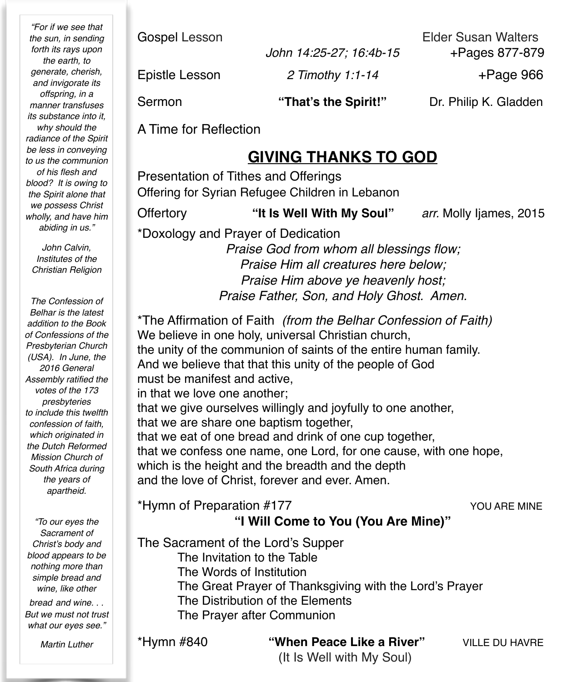*"For if we see that the sun, in sending forth its rays upon the earth, to generate, cherish, and invigorate its offspring, in a manner transfuses its substance into it, why should the radiance of the Spirit be less in conveying to us the communion of his flesh and blood? It is owing to the Spirit alone that we possess Christ wholly, and have him abiding in us."*

*John Calvin, Institutes of the Christian Religion*

*The Confession of Belhar is the latest addition to the Book of Confessions of the Presbyterian Church (USA). In June, the 2016 General Assembly ratified the votes of the 173 presbyteries to include this twelfth confession of faith, which originated in the Dutch Reformed Mission Church of South Africa during the years of apartheid.*

*"To our eyes the Sacrament of Christ's body and blood appears to be nothing more than simple bread and wine, like other* 

*bread and wine. . . But we must not trust what our eyes see."*

*Martin Luther*

Gospel Lesson **Elder Susan Walters** 

 *John 14:25-27; 16:4b-15* +Pages 877-879

Epistle Lesson *2 Timothy 1:1-14* +Page 966

Sermon **"That's the Spirit!"** Dr. Philip K. Gladden

A Time for Reflection

### **GIVING THANKS TO GOD**

Presentation of Tithes and Offerings Offering for Syrian Refugee Children in Lebanon

Offertory **"It Is Well With My Soul"** *arr.* Molly Ijames, 2015

\*Doxology and Prayer of Dedication

*Praise God from whom all blessings flow; Praise Him all creatures here below; Praise Him above ye heavenly host; Praise Father, Son, and Holy Ghost. Amen.*

\*The Affirmation of Faith *(from the Belhar Confession of Faith)*  We believe in one holy, universal Christian church, the unity of the communion of saints of the entire human family. And we believe that that this unity of the people of God must be manifest and active, in that we love one another; that we give ourselves willingly and joyfully to one another, that we are share one baptism together, that we eat of one bread and drink of one cup together, that we confess one name, one Lord, for one cause, with one hope, which is the height and the breadth and the depth and the love of Christ, forever and ever. Amen.

\*Hymn of Preparation #177 YOU ARE MINE

### **"I Will Come to You (You Are Mine)"**

The Sacrament of the Lord's Supper

The Invitation to the Table

The Words of Institution

- The Great Prayer of Thanksgiving with the Lord's Prayer
- The Distribution of the Elements
- The Prayer after Communion

\*Hymn #840 **"When Peace Like a River"** VILLE DU HAVRE

(It Is Well with My Soul)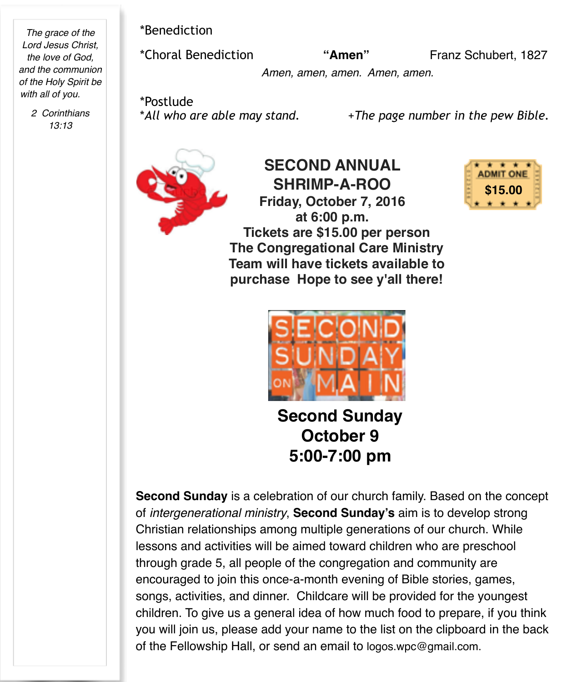*The grace of the Lord Jesus Christ, the love of God, and the communion of the Holy Spirit be with all of you.*

> *2 Corinthians 13:13*

\*Benediction

\*Choral Benediction **"Amen"** Franz Schubert, 1827

 *Amen, amen, amen. Amen, amen.*

\*Postlude<br>\*All who are able may stand.

\**All who are able may stand.* +*The page number in the pew Bible.*



**SECOND ANNUAL SHRIMP-A-ROO Friday, October 7, 2016 at 6:00 p.m. Tickets are \$15.00 per person The Congregational Care Ministry Team will have tickets available to purchase Hope to see y'all there!**





**Second Sunday October 9 5:00-7:00 pm**

**Second Sunday** is a celebration of our church family. Based on the concept of *intergenerational ministry*, **Second Sunday's** aim is to develop strong Christian relationships among multiple generations of our church. While lessons and activities will be aimed toward children who are preschool through grade 5, all people of the congregation and community are encouraged to join this once-a-month evening of Bible stories, games, songs, activities, and dinner. Childcare will be provided for the youngest children. To give us a general idea of how much food to prepare, if you think you will join us, please add your name to the list on the clipboard in the back of the Fellowship Hall, or send an email to [logos.wpc@gmail.com](mailto:logos.wpc@gmail.com).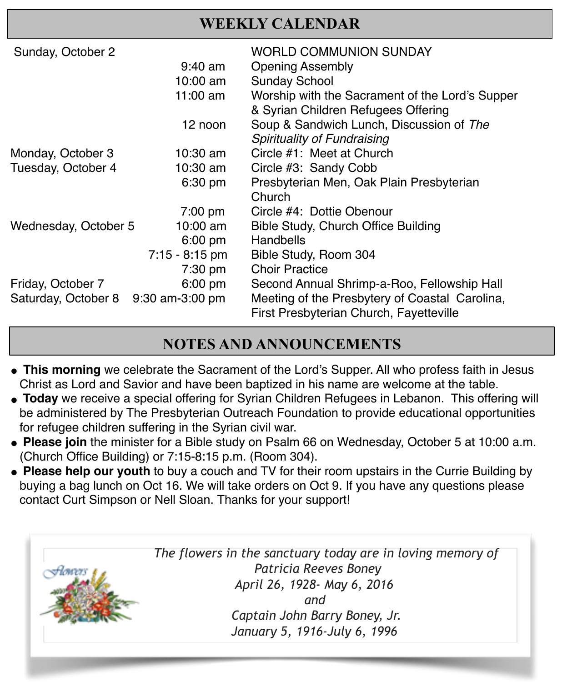### **WEEKLY CALENDAR**

| Sunday, October 2    |                   | WORLD COMMUNION SUNDAY                                                                 |
|----------------------|-------------------|----------------------------------------------------------------------------------------|
|                      | $9:40$ am         | <b>Opening Assembly</b>                                                                |
|                      | 10:00 am          | <b>Sunday School</b>                                                                   |
|                      | 11:00 $am$        | Worship with the Sacrament of the Lord's Supper<br>& Syrian Children Refugees Offering |
|                      | 12 noon           | Soup & Sandwich Lunch, Discussion of The<br>Spirituality of Fundraising                |
| Monday, October 3    | $10:30$ am        | Circle #1: Meet at Church                                                              |
| Tuesday, October 4   | 10:30 am          | Circle #3: Sandy Cobb                                                                  |
|                      | 6:30 pm           | Presbyterian Men, Oak Plain Presbyterian                                               |
|                      |                   | Church                                                                                 |
|                      | $7:00 \text{ pm}$ | Circle #4: Dottie Obenour                                                              |
| Wednesday, October 5 | 10:00 am          | Bible Study, Church Office Building                                                    |
|                      | $6:00 \text{ pm}$ | Handbells                                                                              |
|                      | $7:15 - 8:15$ pm  | Bible Study, Room 304                                                                  |
|                      | $7:30$ pm         | <b>Choir Practice</b>                                                                  |
| Friday, October 7    | $6:00$ pm         | Second Annual Shrimp-a-Roo, Fellowship Hall                                            |
| Saturday, October 8  | 9:30 am-3:00 pm   | Meeting of the Presbytery of Coastal Carolina,                                         |
|                      |                   | First Presbyterian Church, Fayetteville                                                |

### **NOTES AND ANNOUNCEMENTS**

**This morning** we celebrate the Sacrament of the Lord's Supper. All who profess faith in Jesus Christ as Lord and Savior and have been baptized in his name are welcome at the table.

! !

- **Today** we receive a special offering for Syrian Children Refugees in Lebanon. This offering will be administered by The Presbyterian Outreach Foundation to provide educational opportunities for refugee children suffering in the Syrian civil war.
- **Please join** the minister for a Bible study on Psalm 66 on Wednesday, October 5 at 10:00 a.m. (Church Office Building) or 7:15-8:15 p.m. (Room 304).
- **Please help our youth** to buy a couch and TV for their room upstairs in the Currie Building by buying a bag lunch on Oct 16. We will take orders on Oct 9. If you have any questions please contact Curt Simpson or Nell Sloan. Thanks for your support!